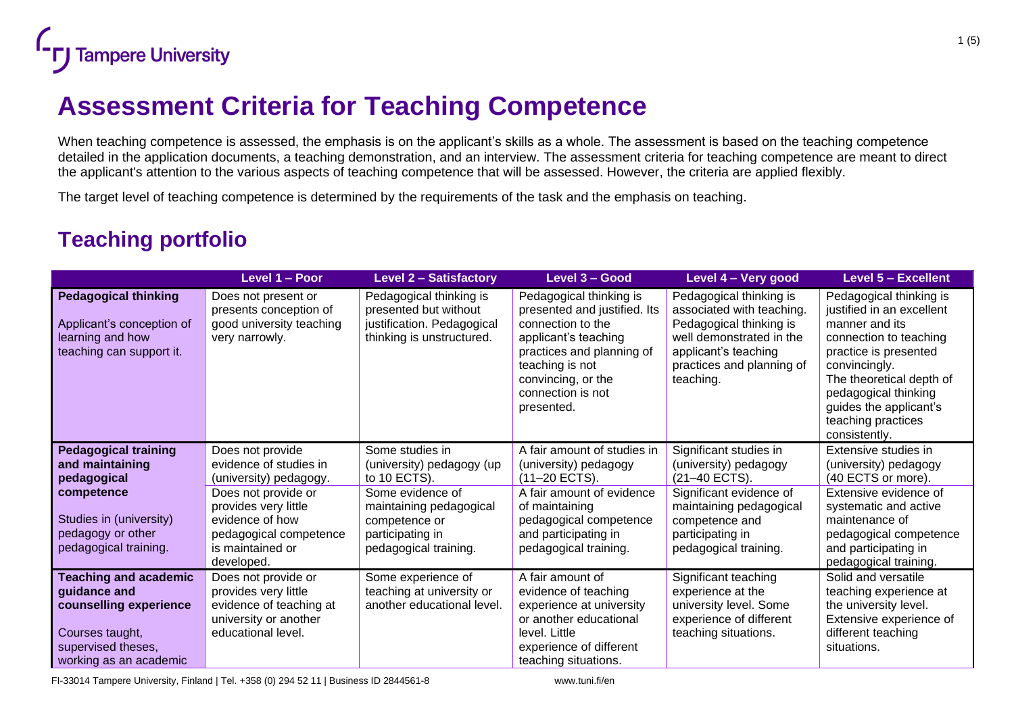

## **Assessment Criteria for Teaching Competence**

When teaching competence is assessed, the emphasis is on the applicant's skills as a whole. The assessment is based on the teaching competence detailed in the application documents, a teaching demonstration, and an interview. The assessment criteria for teaching competence are meant to direct the applicant's attention to the various aspects of teaching competence that will be assessed. However, the criteria are applied flexibly.

The target level of teaching competence is determined by the requirements of the task and the emphasis on teaching.

## **Teaching portfolio**

|                                                                                                                                           | Level 1 - Poor                                                                                                        | <b>Level 2 - Satisfactory</b>                                                                               | Level 3 - Good                                                                                                                                                                                                | Level 4 - Very good                                                                                                                                                           | Level 5 - Excellent                                                                                                                                                                                                                                             |
|-------------------------------------------------------------------------------------------------------------------------------------------|-----------------------------------------------------------------------------------------------------------------------|-------------------------------------------------------------------------------------------------------------|---------------------------------------------------------------------------------------------------------------------------------------------------------------------------------------------------------------|-------------------------------------------------------------------------------------------------------------------------------------------------------------------------------|-----------------------------------------------------------------------------------------------------------------------------------------------------------------------------------------------------------------------------------------------------------------|
| <b>Pedagogical thinking</b><br>Applicant's conception of<br>learning and how<br>teaching can support it.                                  | Does not present or<br>presents conception of<br>good university teaching<br>very narrowly.                           | Pedagogical thinking is<br>presented but without<br>justification. Pedagogical<br>thinking is unstructured. | Pedagogical thinking is<br>presented and justified. Its<br>connection to the<br>applicant's teaching<br>practices and planning of<br>teaching is not<br>convincing, or the<br>connection is not<br>presented. | Pedagogical thinking is<br>associated with teaching.<br>Pedagogical thinking is<br>well demonstrated in the<br>applicant's teaching<br>practices and planning of<br>teaching. | Pedagogical thinking is<br>justified in an excellent<br>manner and its<br>connection to teaching<br>practice is presented<br>convincingly.<br>The theoretical depth of<br>pedagogical thinking<br>guides the applicant's<br>teaching practices<br>consistently. |
| <b>Pedagogical training</b>                                                                                                               | Does not provide                                                                                                      | Some studies in                                                                                             | A fair amount of studies in                                                                                                                                                                                   | Significant studies in                                                                                                                                                        | Extensive studies in                                                                                                                                                                                                                                            |
| and maintaining<br>pedagogical                                                                                                            | evidence of studies in<br>(university) pedagogy.                                                                      | (university) pedagogy (up<br>to 10 ECTS).                                                                   | (university) pedagogy<br>(11-20 ECTS).                                                                                                                                                                        | (university) pedagogy<br>(21-40 ECTS).                                                                                                                                        | (university) pedagogy<br>(40 ECTS or more).                                                                                                                                                                                                                     |
| competence                                                                                                                                | Does not provide or                                                                                                   | Some evidence of                                                                                            | A fair amount of evidence                                                                                                                                                                                     | Significant evidence of<br>maintaining pedagogical                                                                                                                            | Extensive evidence of                                                                                                                                                                                                                                           |
| Studies in (university)                                                                                                                   | provides very little<br>evidence of how                                                                               | maintaining pedagogical<br>competence or                                                                    | of maintaining<br>pedagogical competence                                                                                                                                                                      | competence and                                                                                                                                                                | systematic and active<br>maintenance of                                                                                                                                                                                                                         |
| pedagogy or other                                                                                                                         | pedagogical competence                                                                                                | participating in                                                                                            | and participating in                                                                                                                                                                                          | participating in                                                                                                                                                              | pedagogical competence                                                                                                                                                                                                                                          |
| pedagogical training.                                                                                                                     | is maintained or<br>developed.                                                                                        | pedagogical training.                                                                                       | pedagogical training.                                                                                                                                                                                         | pedagogical training.                                                                                                                                                         | and participating in<br>pedagogical training.                                                                                                                                                                                                                   |
| <b>Teaching and academic</b><br>guidance and<br>counselling experience<br>Courses taught,<br>supervised theses,<br>working as an academic | Does not provide or<br>provides very little<br>evidence of teaching at<br>university or another<br>educational level. | Some experience of<br>teaching at university or<br>another educational level.                               | A fair amount of<br>evidence of teaching<br>experience at university<br>or another educational<br>level. Little<br>experience of different<br>teaching situations.                                            | Significant teaching<br>experience at the<br>university level. Some<br>experience of different<br>teaching situations.                                                        | Solid and versatile<br>teaching experience at<br>the university level.<br>Extensive experience of<br>different teaching<br>situations.                                                                                                                          |

FI-33014 Tampere University, Finland | Tel. +358 (0) 294 52 11 | Business ID 2844561-8 www.tuni.fi/en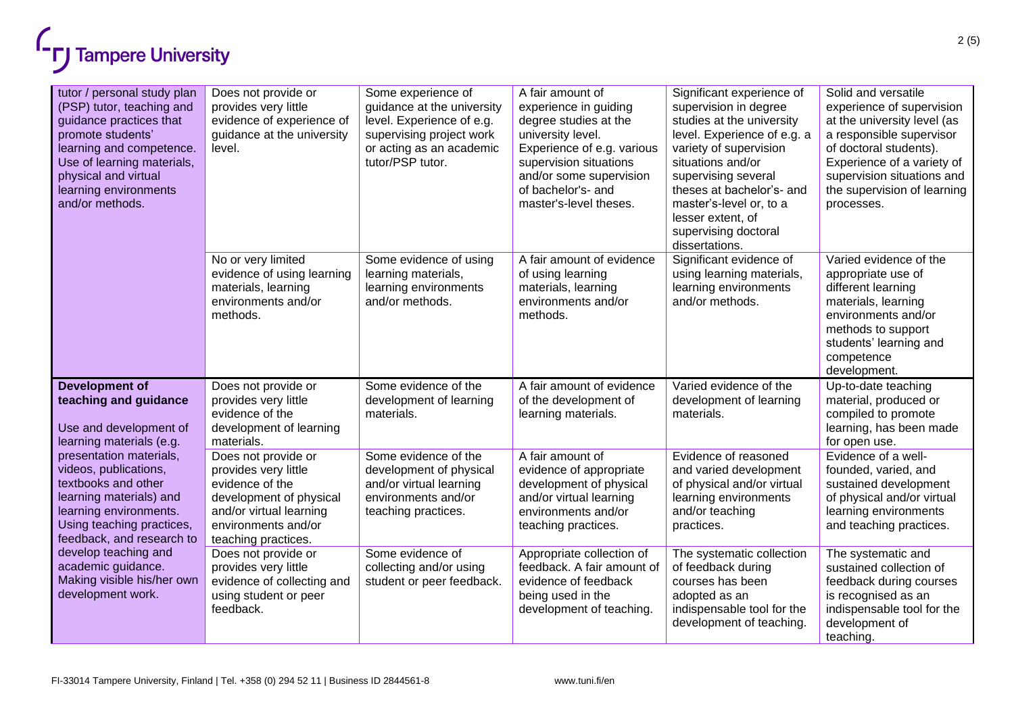

| tutor / personal study plan<br>(PSP) tutor, teaching and<br>guidance practices that<br>promote students'<br>learning and competence.<br>Use of learning materials,<br>physical and virtual<br>learning environments<br>and/or methods. | Does not provide or<br>provides very little<br>evidence of experience of<br>guidance at the university<br>level.                                                   | Some experience of<br>guidance at the university<br>level. Experience of e.g.<br>supervising project work<br>or acting as an academic<br>tutor/PSP tutor. | A fair amount of<br>experience in guiding<br>degree studies at the<br>university level.<br>Experience of e.g. various<br>supervision situations<br>and/or some supervision<br>of bachelor's- and<br>master's-level theses. | Significant experience of<br>supervision in degree<br>studies at the university<br>level. Experience of e.g. a<br>variety of supervision<br>situations and/or<br>supervising several<br>theses at bachelor's- and<br>master's-level or, to a<br>lesser extent, of<br>supervising doctoral<br>dissertations. | Solid and versatile<br>experience of supervision<br>at the university level (as<br>a responsible supervisor<br>of doctoral students).<br>Experience of a variety of<br>supervision situations and<br>the supervision of learning<br>processes. |
|----------------------------------------------------------------------------------------------------------------------------------------------------------------------------------------------------------------------------------------|--------------------------------------------------------------------------------------------------------------------------------------------------------------------|-----------------------------------------------------------------------------------------------------------------------------------------------------------|----------------------------------------------------------------------------------------------------------------------------------------------------------------------------------------------------------------------------|-------------------------------------------------------------------------------------------------------------------------------------------------------------------------------------------------------------------------------------------------------------------------------------------------------------|------------------------------------------------------------------------------------------------------------------------------------------------------------------------------------------------------------------------------------------------|
|                                                                                                                                                                                                                                        | No or very limited<br>evidence of using learning<br>materials, learning<br>environments and/or<br>methods.                                                         | Some evidence of using<br>learning materials,<br>learning environments<br>and/or methods.                                                                 | A fair amount of evidence<br>of using learning<br>materials, learning<br>environments and/or<br>methods.                                                                                                                   | Significant evidence of<br>using learning materials,<br>learning environments<br>and/or methods.                                                                                                                                                                                                            | Varied evidence of the<br>appropriate use of<br>different learning<br>materials, learning<br>environments and/or<br>methods to support<br>students' learning and<br>competence<br>development.                                                 |
| <b>Development of</b><br>teaching and guidance<br>Use and development of<br>learning materials (e.g.                                                                                                                                   | Does not provide or<br>provides very little<br>evidence of the<br>development of learning<br>materials.                                                            | Some evidence of the<br>development of learning<br>materials.                                                                                             | A fair amount of evidence<br>of the development of<br>learning materials.                                                                                                                                                  | Varied evidence of the<br>development of learning<br>materials.                                                                                                                                                                                                                                             | Up-to-date teaching<br>material, produced or<br>compiled to promote<br>learning, has been made<br>for open use.                                                                                                                                |
| presentation materials,<br>videos, publications,<br>textbooks and other<br>learning materials) and<br>learning environments.<br>Using teaching practices,<br>feedback, and research to                                                 | Does not provide or<br>provides very little<br>evidence of the<br>development of physical<br>and/or virtual learning<br>environments and/or<br>teaching practices. | Some evidence of the<br>development of physical<br>and/or virtual learning<br>environments and/or<br>teaching practices.                                  | A fair amount of<br>evidence of appropriate<br>development of physical<br>and/or virtual learning<br>environments and/or<br>teaching practices.                                                                            | Evidence of reasoned<br>and varied development<br>of physical and/or virtual<br>learning environments<br>and/or teaching<br>practices.                                                                                                                                                                      | Evidence of a well-<br>founded, varied, and<br>sustained development<br>of physical and/or virtual<br>learning environments<br>and teaching practices.                                                                                         |
| develop teaching and<br>academic guidance.<br>Making visible his/her own<br>development work.                                                                                                                                          | Does not provide or<br>provides very little<br>evidence of collecting and<br>using student or peer<br>feedback.                                                    | Some evidence of<br>collecting and/or using<br>student or peer feedback.                                                                                  | Appropriate collection of<br>feedback. A fair amount of<br>evidence of feedback<br>being used in the<br>development of teaching.                                                                                           | The systematic collection<br>of feedback during<br>courses has been<br>adopted as an<br>indispensable tool for the<br>development of teaching.                                                                                                                                                              | The systematic and<br>sustained collection of<br>feedback during courses<br>is recognised as an<br>indispensable tool for the<br>development of<br>teaching.                                                                                   |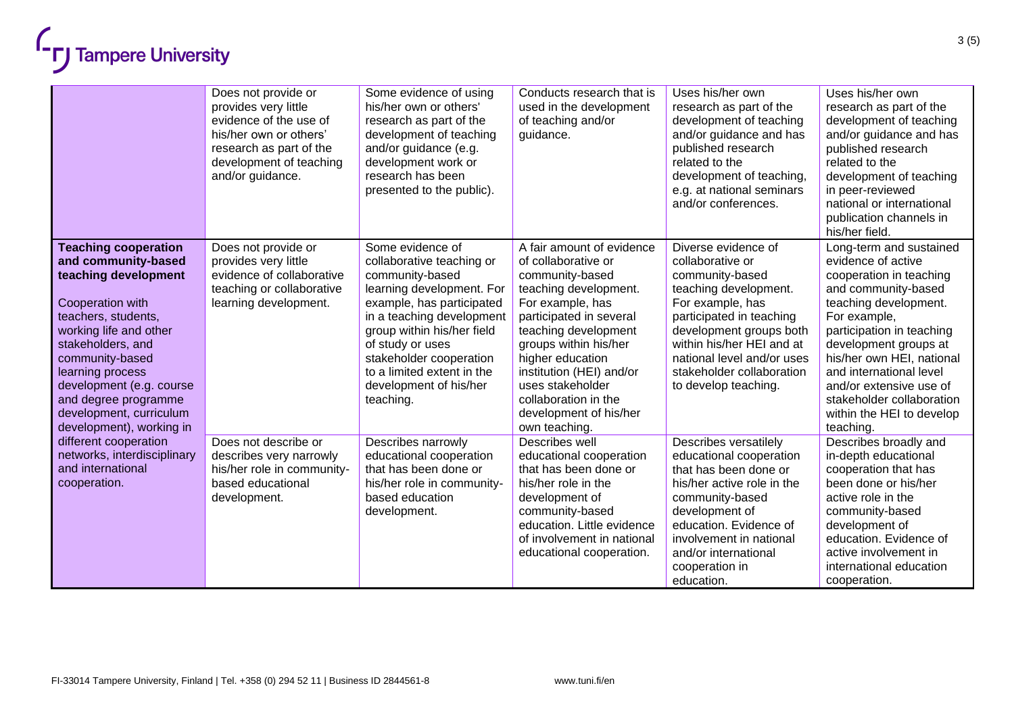|                                                                                                                                                                                                                                                                                                                        | Does not provide or<br>provides very little<br>evidence of the use of<br>his/her own or others'<br>research as part of the<br>development of teaching<br>and/or guidance. | Some evidence of using<br>his/her own or others'<br>research as part of the<br>development of teaching<br>and/or guidance (e.g.<br>development work or<br>research has been<br>presented to the public).                                                                                                  | Conducts research that is<br>used in the development<br>of teaching and/or<br>guidance.                                                                                                                                                                                                                                             | Uses his/her own<br>research as part of the<br>development of teaching<br>and/or guidance and has<br>published research<br>related to the<br>development of teaching.<br>e.g. at national seminars<br>and/or conferences.                                                      | Uses his/her own<br>research as part of the<br>development of teaching<br>and/or guidance and has<br>published research<br>related to the<br>development of teaching<br>in peer-reviewed<br>national or international<br>publication channels in<br>his/her field.                                                                                       |
|------------------------------------------------------------------------------------------------------------------------------------------------------------------------------------------------------------------------------------------------------------------------------------------------------------------------|---------------------------------------------------------------------------------------------------------------------------------------------------------------------------|-----------------------------------------------------------------------------------------------------------------------------------------------------------------------------------------------------------------------------------------------------------------------------------------------------------|-------------------------------------------------------------------------------------------------------------------------------------------------------------------------------------------------------------------------------------------------------------------------------------------------------------------------------------|--------------------------------------------------------------------------------------------------------------------------------------------------------------------------------------------------------------------------------------------------------------------------------|----------------------------------------------------------------------------------------------------------------------------------------------------------------------------------------------------------------------------------------------------------------------------------------------------------------------------------------------------------|
| <b>Teaching cooperation</b><br>and community-based<br>teaching development<br>Cooperation with<br>teachers, students,<br>working life and other<br>stakeholders, and<br>community-based<br>learning process<br>development (e.g. course<br>and degree programme<br>development, curriculum<br>development), working in | Does not provide or<br>provides very little<br>evidence of collaborative<br>teaching or collaborative<br>learning development.                                            | Some evidence of<br>collaborative teaching or<br>community-based<br>learning development. For<br>example, has participated<br>in a teaching development<br>group within his/her field<br>of study or uses<br>stakeholder cooperation<br>to a limited extent in the<br>development of his/her<br>teaching. | A fair amount of evidence<br>of collaborative or<br>community-based<br>teaching development.<br>For example, has<br>participated in several<br>teaching development<br>groups within his/her<br>higher education<br>institution (HEI) and/or<br>uses stakeholder<br>collaboration in the<br>development of his/her<br>own teaching. | Diverse evidence of<br>collaborative or<br>community-based<br>teaching development.<br>For example, has<br>participated in teaching<br>development groups both<br>within his/her HEI and at<br>national level and/or uses<br>stakeholder collaboration<br>to develop teaching. | Long-term and sustained<br>evidence of active<br>cooperation in teaching<br>and community-based<br>teaching development.<br>For example,<br>participation in teaching<br>development groups at<br>his/her own HEI, national<br>and international level<br>and/or extensive use of<br>stakeholder collaboration<br>within the HEI to develop<br>teaching. |
| different cooperation<br>networks, interdisciplinary<br>and international<br>cooperation.                                                                                                                                                                                                                              | Does not describe or<br>describes very narrowly<br>his/her role in community-<br>based educational<br>development.                                                        | Describes narrowly<br>educational cooperation<br>that has been done or<br>his/her role in community-<br>based education<br>development.                                                                                                                                                                   | Describes well<br>educational cooperation<br>that has been done or<br>his/her role in the<br>development of<br>community-based<br>education. Little evidence<br>of involvement in national<br>educational cooperation.                                                                                                              | Describes versatilely<br>educational cooperation<br>that has been done or<br>his/her active role in the<br>community-based<br>development of<br>education. Evidence of<br>involvement in national<br>and/or international<br>cooperation in<br>education.                      | Describes broadly and<br>in-depth educational<br>cooperation that has<br>been done or his/her<br>active role in the<br>community-based<br>development of<br>education. Evidence of<br>active involvement in<br>international education<br>cooperation.                                                                                                   |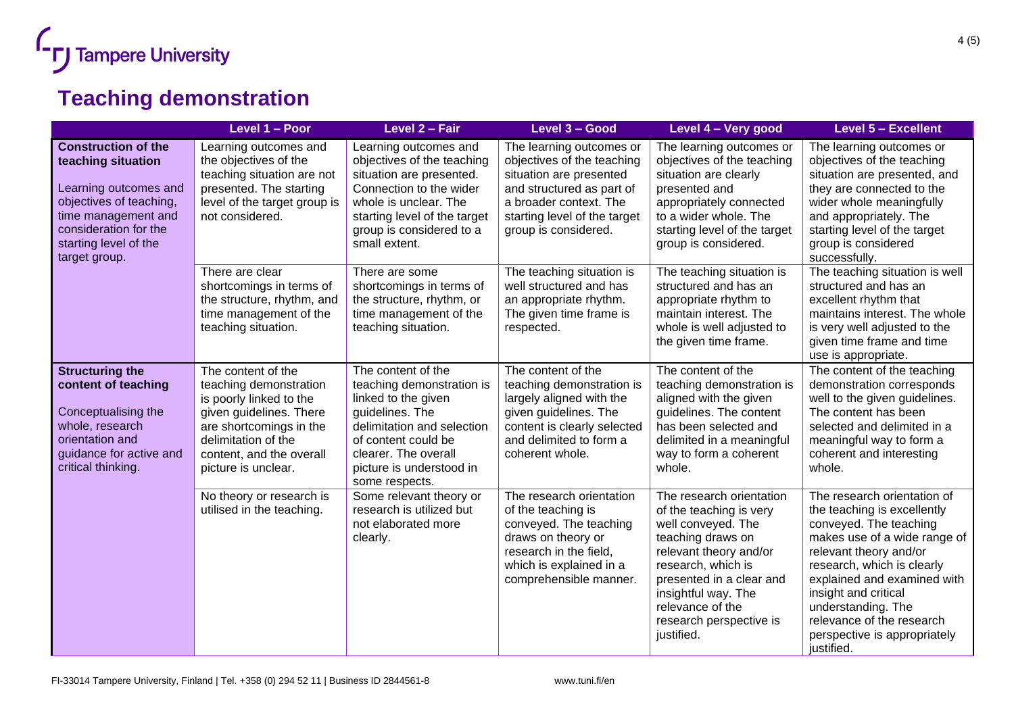

## **Teaching demonstration**

|                                                                                                                                                                                                | Level 1 - Poor                                                                                                                                                                                          | Level 2 - Fair                                                                                                                                                                                                       | Level 3 - Good                                                                                                                                                                                   | Level 4 – Very good                                                                                                                                                                                                                                            | Level 5 - Excellent                                                                                                                                                                                                                                                                                                                  |
|------------------------------------------------------------------------------------------------------------------------------------------------------------------------------------------------|---------------------------------------------------------------------------------------------------------------------------------------------------------------------------------------------------------|----------------------------------------------------------------------------------------------------------------------------------------------------------------------------------------------------------------------|--------------------------------------------------------------------------------------------------------------------------------------------------------------------------------------------------|----------------------------------------------------------------------------------------------------------------------------------------------------------------------------------------------------------------------------------------------------------------|--------------------------------------------------------------------------------------------------------------------------------------------------------------------------------------------------------------------------------------------------------------------------------------------------------------------------------------|
| <b>Construction of the</b><br>teaching situation<br>Learning outcomes and<br>objectives of teaching,<br>time management and<br>consideration for the<br>starting level of the<br>target group. | Learning outcomes and<br>the objectives of the<br>teaching situation are not<br>presented. The starting<br>level of the target group is<br>not considered.                                              | Learning outcomes and<br>objectives of the teaching<br>situation are presented.<br>Connection to the wider<br>whole is unclear. The<br>starting level of the target<br>group is considered to a<br>small extent.     | The learning outcomes or<br>objectives of the teaching<br>situation are presented<br>and structured as part of<br>a broader context. The<br>starting level of the target<br>group is considered. | The learning outcomes or<br>objectives of the teaching<br>situation are clearly<br>presented and<br>appropriately connected<br>to a wider whole. The<br>starting level of the target<br>group is considered.                                                   | The learning outcomes or<br>objectives of the teaching<br>situation are presented, and<br>they are connected to the<br>wider whole meaningfully<br>and appropriately. The<br>starting level of the target<br>group is considered<br>successfully.                                                                                    |
|                                                                                                                                                                                                | There are clear<br>shortcomings in terms of<br>the structure, rhythm, and<br>time management of the<br>teaching situation.                                                                              | There are some<br>shortcomings in terms of<br>the structure, rhythm, or<br>time management of the<br>teaching situation.                                                                                             | The teaching situation is<br>well structured and has<br>an appropriate rhythm.<br>The given time frame is<br>respected.                                                                          | The teaching situation is<br>structured and has an<br>appropriate rhythm to<br>maintain interest. The<br>whole is well adjusted to<br>the given time frame.                                                                                                    | The teaching situation is well<br>structured and has an<br>excellent rhythm that<br>maintains interest. The whole<br>is very well adjusted to the<br>given time frame and time<br>use is appropriate.                                                                                                                                |
| <b>Structuring the</b><br>content of teaching<br>Conceptualising the<br>whole, research<br>orientation and<br>guidance for active and<br>critical thinking.                                    | The content of the<br>teaching demonstration<br>is poorly linked to the<br>given guidelines. There<br>are shortcomings in the<br>delimitation of the<br>content, and the overall<br>picture is unclear. | The content of the<br>teaching demonstration is<br>linked to the given<br>guidelines. The<br>delimitation and selection<br>of content could be<br>clearer. The overall<br>picture is understood in<br>some respects. | The content of the<br>teaching demonstration is<br>largely aligned with the<br>given guidelines. The<br>content is clearly selected<br>and delimited to form a<br>coherent whole.                | The content of the<br>teaching demonstration is<br>aligned with the given<br>guidelines. The content<br>has been selected and<br>delimited in a meaningful<br>way to form a coherent<br>whole.                                                                 | The content of the teaching<br>demonstration corresponds<br>well to the given guidelines.<br>The content has been<br>selected and delimited in a<br>meaningful way to form a<br>coherent and interesting<br>whole.                                                                                                                   |
|                                                                                                                                                                                                | No theory or research is<br>utilised in the teaching.                                                                                                                                                   | Some relevant theory or<br>research is utilized but<br>not elaborated more<br>clearly.                                                                                                                               | The research orientation<br>of the teaching is<br>conveyed. The teaching<br>draws on theory or<br>research in the field,<br>which is explained in a<br>comprehensible manner.                    | The research orientation<br>of the teaching is very<br>well conveyed. The<br>teaching draws on<br>relevant theory and/or<br>research, which is<br>presented in a clear and<br>insightful way. The<br>relevance of the<br>research perspective is<br>justified. | The research orientation of<br>the teaching is excellently<br>conveyed. The teaching<br>makes use of a wide range of<br>relevant theory and/or<br>research, which is clearly<br>explained and examined with<br>insight and critical<br>understanding. The<br>relevance of the research<br>perspective is appropriately<br>justified. |